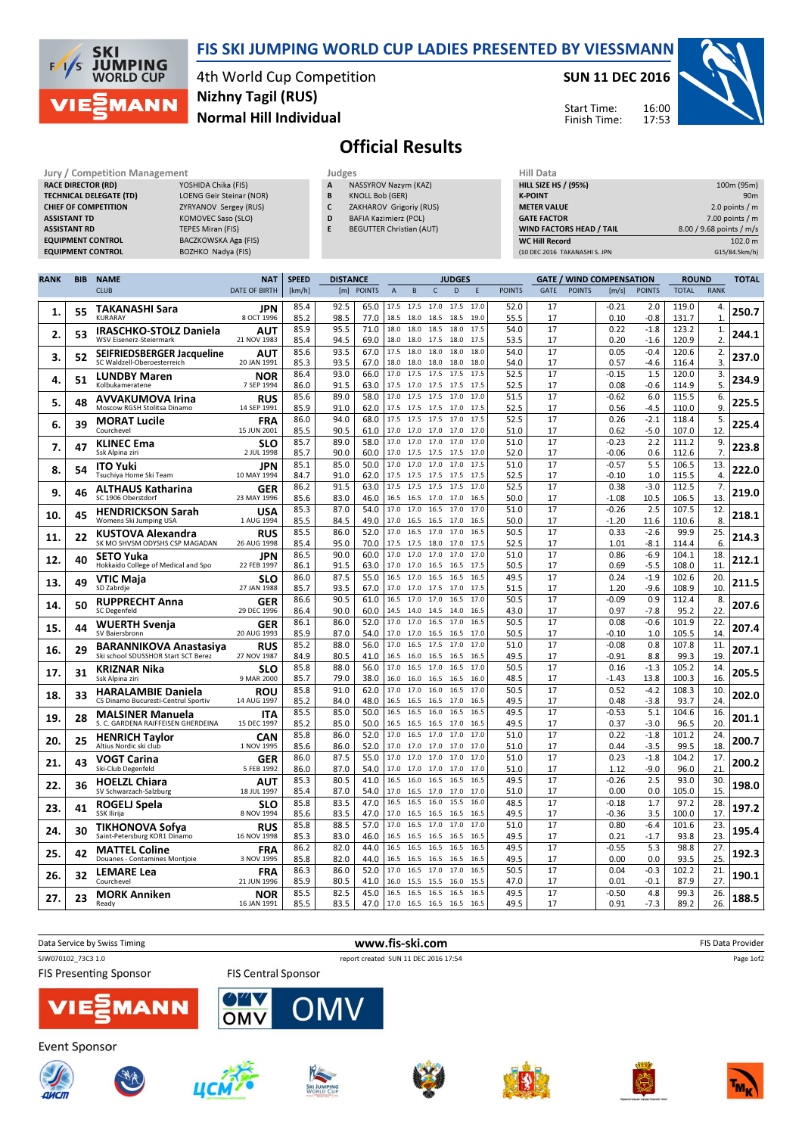

## FIS SKI JUMPING WORLD CUP LADIES PRESENTED BY VIESSMANN

4th World Cup Competition Normal Hill Individual Nizhny Tagil (RUS)

## SUN 11 DEC 2016

Start Time: Finish Time:



## Official Results

| Jury / Competition Management  |                                 |   | Judges                          | <b>Hill Data</b>   |
|--------------------------------|---------------------------------|---|---------------------------------|--------------------|
| <b>RACE DIRECTOR (RD)</b>      | YOSHIDA Chika (FIS)             | A | NASSYROV Nazym (KAZ)            | <b>HILL SIZE H</b> |
| <b>TECHNICAL DELEGATE (TD)</b> | <b>LOENG Geir Steinar (NOR)</b> | B | <b>KNOLL Bob (GER)</b>          | <b>K-POINT</b>     |
| <b>CHIEF OF COMPETITION</b>    | ZYRYANOV Sergey (RUS)           |   | ZAKHAROV Grigoriy (RUS)         | <b>METER VAI</b>   |
| <b>ASSISTANT TD</b>            | KOMOVEC Saso (SLO)              | D | <b>BAFIA Kazimierz (POL)</b>    | <b>GATE FACT</b>   |
| <b>ASSISTANT RD</b>            | <b>TEPES Miran (FIS)</b>        | E | <b>BEGUTTER Christian (AUT)</b> | <b>WIND FACT</b>   |
| <b>EQUIPMENT CONTROL</b>       | <b>BACZKOWSKA Aga (FIS)</b>     |   |                                 | WC Hill Re         |
| <b>EQUIPMENT CONTROL</b>       | BOZHKO Nadya (FIS)              |   |                                 | (10 DEC 2016       |

| <b>WIND FACTORS HEAD / TAIL</b><br><b>WC Hill Record</b> | 8.00 / 9.68 points / m/s<br>102.0 m |
|----------------------------------------------------------|-------------------------------------|
| <b>GATE FACTOR</b>                                       | $7.00$ points / m                   |
| <b>METER VALUE</b>                                       | 2.0 points $/m$                     |
| <b>K-POINT</b>                                           | 90 <sub>m</sub>                     |
| <b>HILL SIZE HS / (95%)</b>                              | 100m (95m)                          |
| Hill Data                                                |                                     |

16:00

| <b>POINTS</b><br>D<br><b>POINTS</b><br><b>GATE</b><br><b>POINTS</b><br><b>RANK</b><br><b>CLUB</b><br><b>DATE OF BIRTH</b><br>[km/h]<br>[m]<br>$\overline{A}$<br>B<br>$\mathsf{C}$<br>F<br>[m/s]<br><b>POINTS</b><br><b>TOTAL</b><br>92.5<br>$-0.21$<br>85.4<br>65.0<br>17.5 17.5 17.0<br>17.5<br>17.0<br>52.0<br>17<br>2.0<br>119.0<br>4.<br><b>TAKANASHI Sara</b><br>JPN<br>55<br>250.7<br>1.<br>85.2<br>98.5<br>77.0<br>17<br>0.10<br>$-0.8$<br>131.7<br>$\mathbf{1}$<br><b>KURARAY</b><br>8 OCT 1996<br>18.5<br>18.0<br>18.5<br>18.5<br>19.0<br>55.5<br>85.9<br>95.5<br>71.0<br>54.0<br>17<br>0.22<br>123.2<br>18.0<br>18.0<br>18.5<br>18.0<br>17.5<br>$-1.8$<br>1.<br>ΑUΤ<br>IRASCHKO-STOLZ Daniela<br>244.1<br>2.<br>53<br>85.4<br>94.5<br>69.0<br>18.0 18.0<br>17.5<br>18.0<br>17.5<br>53.5<br>17<br>0.20<br>120.9<br>2.<br><b>WSV Eisenerz-Steiermark</b><br>21 NOV 1983<br>$-1.6$<br>93.5<br>17<br>85.6<br>67.0<br>54.0<br>0.05<br>$-0.4$<br>2.<br>17.5<br>18.0<br>18.0<br>18.0<br>18.0<br>120.6<br>SEIFRIEDSBERGER Jacqueline<br>AUT<br>3.<br>237.0<br>52<br>20 JAN 1991<br>85.3<br>93.5<br>17<br>0.57<br>3.<br>SC Waldzell-Oberoesterreich<br>67.0<br>18.0<br>18.0 18.0<br>18.0<br>18.0<br>54.0<br>$-4.6$<br>116.4<br>86.4<br>93.0<br>52.5<br>17<br>$-0.15$<br>1.5<br>120.0<br>3.<br>66.0<br>17.0<br>17.5<br>17.5<br>17.5<br>17.5<br><b>NOR</b><br><b>LUNDBY Maren</b><br>51<br>234.9<br>4.<br>91.5<br>$-0.6$<br>5.<br>86.0<br>63.0<br>52.5<br>17<br>0.08<br>114.9<br>Kolbukameratene<br>7 SEP 1994<br>17.5<br>17.0<br>17.5<br>17.5<br>17.5<br>89.0<br>51.5<br>6.0<br>85.6<br>58.0<br>17.0<br>17.5<br>17.5<br>17.0<br>17.0<br>17<br>$-0.62$<br>115.5<br>6.<br>RUS<br><b>AVVAKUMOVA Irina</b><br>225.5<br>5.<br>48<br>Moscow RGSH Stolitsa Dinamo<br>14 SEP 1991<br>85.9<br>91.0<br>62.0<br>17.5<br>17.5<br>17.5<br>17.0<br>17.5<br>52.5<br>17<br>0.56<br>-4.5<br>110.0<br>9.<br>94.0<br>68.0<br>17.5<br>17.5<br>17.5<br>17.0<br>17.5<br>52.5<br>17<br>0.26<br>$-2.1$<br>118.4<br>5.<br>86.0<br><b>MORAT Lucile</b><br><b>FRA</b><br>39<br>225.4<br>6.<br>90.5<br>17<br>12.<br>85.5<br>61.0<br>17.0<br>0.62<br>-5.0<br>107.0<br>Courchevel<br>15 JUN 2001<br>17.0<br>17.0<br>17.0<br>17.0<br>51.0<br>89.0<br>17.0<br>2.2<br>85.7<br>58.0<br>17.0<br>17.0<br>17.0<br>17.0<br>51.0<br>17<br>$-0.23$<br>111.2<br>9.<br><b>SLO</b><br><b>KLINEC Ema</b><br>223.8<br>7.<br>47<br>90.0<br>7.<br>Ssk Alpina ziri<br>2 JUL 1998<br>85.7<br>60.0<br>17.0 17.5<br>17.5<br>17.5<br>17.0<br>52.0<br>17<br>$-0.06$<br>0.6<br>112.6<br>85.1<br>85.0<br>50.0<br>51.0<br>17<br>$-0.57$<br>5.5<br>106.5<br>13.<br>17.0<br>17.0<br>17.0<br>17.0<br>17.5<br><b>JPN</b><br><b>ITO Yuki</b><br>8.<br>222.0<br>54<br>91.0<br>84.7<br>62.0<br>52.5<br>17<br>$-0.10$<br>1.0<br>115.5<br>Tsuchiya Home Ski Team<br>10 MAY 1994<br>17.5<br>17.5<br>17.5<br>17.5<br>17.5<br>4.<br>52.5<br>$-3.0$<br>7.<br>86.2<br>91.5<br>63.0<br>17.5 17.5 17.5<br>17.5<br>17.0<br>17<br>0.38<br>112.5<br>ALTHAUS Katharina<br>GER<br>219.0<br>9.<br>46<br>SC 1906 Oberstdorf<br>23 MAY 1996<br>85.6<br>83.0<br>46.0<br>50.0<br>17<br>$-1.08$<br>10.5<br>106.5<br>13.<br>16.5<br>16.5<br>17.0<br>17.0<br>16.5<br>85.3<br>87.0<br>54.0<br>17.0<br>17.0<br>16.5<br>17.0<br>17.0<br>51.0<br>17<br>$-0.26$<br>2.5<br>107.5<br>12.<br><b>USA</b><br><b>HENDRICKSON Sarah</b><br>218.1<br>45<br>10.<br>8.<br>85.5<br>84.5<br>49.0<br>50.0<br>17<br>$-1.20$<br>110.6<br>Womens Ski Jumping USA<br>1 AUG 1994<br>17.0 16.5<br>16.5<br>17.0<br>16.5<br>11.6<br>17<br>25.<br>85.5<br>86.0<br>52.0<br>50.5<br>0.33<br>$-2.6$<br>99.9<br>17.0<br>16.5<br>17.0<br>17.0<br>16.5<br>RUS<br>KUSTOVA Alexandra<br>214.3<br>22<br>11.<br>SK MO SHVSM ODYSHS CSP MAGADAN<br>85.4<br>95.0<br>70.0<br>52.5<br>17<br>1.01<br>$-8.1$<br>6.<br>26 AUG 1998<br>17.5<br>17.5<br>18.0<br>17.0<br>17.5<br>114.4<br>90.0<br>17<br>$-6.9$<br>86.5<br>60.0<br>17.0<br>17.0<br>17.0<br>17.0<br>17.0<br>51.0<br>0.86<br>104.1<br>18.<br>JPN<br><b>SETO Yuka</b><br>212.1<br>40<br>12.<br>91.5<br>63.0<br>0.69<br>$-5.5$<br>11<br>Hokkaido College of Medical and Spo<br>22 FEB 1997<br>86.1<br>17.0<br>17.0<br>16.5<br>16.5<br>17.5<br>50.5<br>17<br>108.0<br>87.5<br>16.5 17.0<br>16.5<br>16.5<br>16.5<br>17<br>86.0<br>55.0<br>49.5<br>0.24<br>$-1.9$<br>102.6<br>20.<br><b>SLO</b><br>VTIC Maja<br>211.5<br>49<br>13.<br>85.7<br>10<br>SD Zabrdje<br>27 JAN 1988<br>93.5<br>67.0<br>17.0<br>17.0<br>17.5<br>17.0<br>17.5<br>51.5<br>17<br>1.20<br>$-9.6$<br>108.9<br>17<br>90.5<br>50.5<br>$-0.09$<br>0.9<br>112.4<br>86.6<br>61.0<br>16.5<br>17.0<br>17.0<br>16.5<br>17.0<br>8.<br><b>RUPPRECHT Anna</b><br>GER<br>207.6<br>14.<br>50<br>90.0<br>0.97<br>22.<br>29 DEC 1996<br>86.4<br>60.0<br>14.5<br>14.0<br>43.0<br>17<br>$-7.8$<br>95.2<br>SC Degenfeld<br>14.0<br>14.5<br>16.5<br>86.0<br>52.0<br>17.0<br>16.5<br>17.0<br>16.5<br>17<br>$-0.6$<br>86.1<br>17.0<br>50.5<br>0.08<br>101.9<br>22<br>GER<br>WUERTH Svenja<br>207.4<br>15.<br>44<br>20 AUG 1993<br>85.9<br>87.0<br>17.0 17.0<br>17<br>SV Baiersbronn<br>54.0<br>16.5<br>16.5<br>17.0<br>50.5<br>$-0.10$<br>1.0<br>105.5<br>14<br>17<br>85.2<br>88.0<br>56.0<br>17.0<br>17.5<br>51.0<br>$-0.08$<br>0.8<br>107.8<br>11.<br>16.5<br>17.0<br>17.0<br><b>RUS</b><br><b>BARANNIKOVA Anastasiva</b><br>207.1<br>29<br>16.<br>80.5<br>8.8<br>99.3<br>19<br>Ski school SDUSSHOR Start SCT Berez<br>27 NOV 1987<br>84.9<br>41.0<br>16.5<br>16.0<br>16.5<br>49.5<br>17<br>-0.91<br>16.5<br>16.5<br>88.0<br>17.0<br>17.0<br>50.5<br>17<br>$-1.3$<br>105.2<br>14.<br>85.8<br>56.0<br>17.0<br>16.5<br>16.5<br>0.16<br><b>SLO</b><br>KRIZNAR Nika<br>205.5<br>31<br>17.<br>79.0<br>17<br>100.3<br>85.7<br>38.0<br>48.5<br>$-1.43$<br>13.8<br>16.<br>9 MAR 2000<br>16.0<br>16.5<br>16.0<br>Ssk Alpina ziri<br>16.0<br>16.5<br>16.0<br>17.0<br>85.8<br>91.0<br>62.0<br>17.0<br>17.0<br>16.5<br>50.5<br>17<br>0.52<br>$-4.2$<br>108.3<br>10.<br>ROU<br><b>HARALAMBIE Daniela</b><br>202.0<br>18.<br>33<br>84.0<br>48.0<br>93.7<br>14 AUG 1997<br>85.2<br>16.5<br>16.5<br>16.5<br>17.0<br>16.5<br>49.5<br>17<br>0.48<br>-3.8<br>24<br>CS Dinamo Bucuresti-Centrul Sportiv<br>85.5<br>85.0<br>50.0<br>49.5<br>17<br>$-0.53$<br>5.1<br>104.6<br>16.5<br>16.5<br>16.0<br>16.5<br>16.5<br>16.<br><b>ITA</b><br><b>MALSINER Manuela</b><br>28<br>201.1<br>19.<br>85.2<br>85.0<br>17<br>20<br>S. C. GARDENA RAIFFEISEN GHERDEINA<br>15 DEC 1997<br>50.0<br>49.5<br>0.37<br>$-3.0$<br>96.5<br>16.5<br>16.5<br>16.5<br>17.0<br>16.5<br>85.8<br>86.0<br>52.0<br>17.0<br>17.0<br>51.0<br>17<br>0.22<br>$-1.8$<br>101.2<br>24.<br>17.0<br>16.5<br>17.0<br><b>CAN</b><br><b>HENRICH Tavlor</b><br>200.7<br>20.<br>25<br>1 NOV 1995<br>85.6<br>86.0<br>52.0<br>17.0<br>17.0<br>17.0<br>17.0<br>17<br>0.44<br>$-3.5$<br>99.5<br>18<br>Altius Nordic ski club<br>17.0<br>51.0<br>87.5<br>55.0<br>17.0<br>17.0<br>17.0<br>51.0<br>17<br>0.23<br>$-1.8$<br>104.2<br>17.<br>86.0<br>17.0<br>17.0<br>GER<br>VOGT Carina<br>200.2<br>21.<br>43<br>87.0<br>17<br>$-9.0$<br>21<br>86.0<br>54.0<br>17.0<br>51.0<br>1.12<br>96.0<br>5 FEB 1992<br>17.0<br>17.0<br>17.0<br>17.0<br>Ski-Club Degenfeld<br>49.5<br>17<br>2.5<br>30.<br>85.3<br>80.5<br>41.0<br>16.5<br>$-0.26$<br>93.0<br>16.5<br>16.0<br>16.5<br>16.5<br>AUT<br><b>HOELZL Chiara</b><br>36<br>198.0<br>22.<br>85.4<br>87.0<br>54.0<br>17<br>0.00<br>0.0<br>105.0<br>15.<br>SV Schwarzach-Salzburg<br>18 JUL 1997<br>17.0<br>16.5<br>17.0<br>17.0<br>17.0<br>51.0<br>85.8<br>83.5<br>47.0<br>16.5<br>16.5<br>16.0<br>15.5<br>16.0<br>48.5<br>17<br>$-0.18$<br>1.7<br>97.2<br>28.<br><b>SLO</b><br><b>ROGELJ Spela</b><br>197.2<br>23.<br>41<br>83.5<br>47.0<br>17<br>100.0<br>17.<br>85.6<br>17.0<br>16.5<br>49.5<br>$-0.36$<br>3.5<br>8 NOV 1994<br>16.5<br>16.5<br>16.5<br>SSK Ilirija<br>88.5<br>51.0<br>17<br>23.<br>85.8<br>57.0<br>17.0<br>17.0<br>0.80<br>$-6.4$<br>101.6<br>16.5<br>17.0<br>17.0<br>RUS<br>TIKHONOVA Sofya<br>30<br>195.4<br>24.<br>Saint-Petersburg KOR1 Dinamo<br>85.3<br>83.0<br>46.0<br>49.5<br>17<br>0.21<br>$-1.7$<br>93.8<br>23.<br>16 NOV 1998<br>16.5<br>16.5<br>16.5<br>16.5<br>16.5<br>86.2<br>82.0<br>44.0<br>16.5<br>16.5<br>16.5<br>16.5<br>16.5<br>49.5<br>17<br>$-0.55$<br>5.3<br>98.8<br>27.<br><b>FRA</b><br><b>MATTEL Coline</b><br>192.3<br>42<br>25.<br>82.0<br>0.0<br>93.5<br>25.<br>85.8<br>44.0<br>16.5<br>49.5<br>17<br>0.00<br>Douanes - Contamines Montjoie<br>3 NOV 1995<br>16.5<br>16.5<br>16.5<br>16.5<br>52.0<br>17.0<br>16.5<br>17<br>$-0.3$<br>21.<br>86.3<br>86.0<br>17.0<br>16.5<br>17.0<br>50.5<br>0.04<br>102.2<br><b>FRA</b><br>LEMARE Lea<br>32<br>190.1<br>26.<br>85.9<br>80.5<br>41.0<br>17<br>0.01<br>$-0.1$<br>87.9<br>27.<br>Courchevel<br>21 JUN 1996<br>16.0 15.5 15.5<br>16.0<br>15.5<br>47.0<br>85.5<br>82.5<br>45.0<br>49.5<br>17<br>$-0.50$<br>4.8<br>99.3<br>26.<br>16.5<br>16.5<br>16.5<br>16.5<br>16.5<br><b>MORK Anniken</b><br><b>NOR</b><br>23<br>188.5<br>27.<br>89.2<br>85.5<br>83.5<br>47.0<br>17.0 16.5 16.5<br>16.5<br>49.5<br>17<br>0.91<br>$-7.3$<br>26.<br>16 JAN 1991<br>16.5<br>Ready | <b>RANK</b> | <b>BIB</b> | <b>NAME</b> | <b>NAT</b> | <b>SPEED</b> | <b>DISTANCE</b> |  |  | <b>JUDGES</b> |  |  | <b>GATE / WIND COMPENSATION</b> | <b>ROUND</b> | <b>TOTAL</b> |
|-----------------------------------------------------------------------------------------------------------------------------------------------------------------------------------------------------------------------------------------------------------------------------------------------------------------------------------------------------------------------------------------------------------------------------------------------------------------------------------------------------------------------------------------------------------------------------------------------------------------------------------------------------------------------------------------------------------------------------------------------------------------------------------------------------------------------------------------------------------------------------------------------------------------------------------------------------------------------------------------------------------------------------------------------------------------------------------------------------------------------------------------------------------------------------------------------------------------------------------------------------------------------------------------------------------------------------------------------------------------------------------------------------------------------------------------------------------------------------------------------------------------------------------------------------------------------------------------------------------------------------------------------------------------------------------------------------------------------------------------------------------------------------------------------------------------------------------------------------------------------------------------------------------------------------------------------------------------------------------------------------------------------------------------------------------------------------------------------------------------------------------------------------------------------------------------------------------------------------------------------------------------------------------------------------------------------------------------------------------------------------------------------------------------------------------------------------------------------------------------------------------------------------------------------------------------------------------------------------------------------------------------------------------------------------------------------------------------------------------------------------------------------------------------------------------------------------------------------------------------------------------------------------------------------------------------------------------------------------------------------------------------------------------------------------------------------------------------------------------------------------------------------------------------------------------------------------------------------------------------------------------------------------------------------------------------------------------------------------------------------------------------------------------------------------------------------------------------------------------------------------------------------------------------------------------------------------------------------------------------------------------------------------------------------------------------------------------------------------------------------------------------------------------------------------------------------------------------------------------------------------------------------------------------------------------------------------------------------------------------------------------------------------------------------------------------------------------------------------------------------------------------------------------------------------------------------------------------------------------------------------------------------------------------------------------------------------------------------------------------------------------------------------------------------------------------------------------------------------------------------------------------------------------------------------------------------------------------------------------------------------------------------------------------------------------------------------------------------------------------------------------------------------------------------------------------------------------------------------------------------------------------------------------------------------------------------------------------------------------------------------------------------------------------------------------------------------------------------------------------------------------------------------------------------------------------------------------------------------------------------------------------------------------------------------------------------------------------------------------------------------------------------------------------------------------------------------------------------------------------------------------------------------------------------------------------------------------------------------------------------------------------------------------------------------------------------------------------------------------------------------------------------------------------------------------------------------------------------------------------------------------------------------------------------------------------------------------------------------------------------------------------------------------------------------------------------------------------------------------------------------------------------------------------------------------------------------------------------------------------------------------------------------------------------------------------------------------------------------------------------------------------------------------------------------------------------------------------------------------------------------------------------------------------------------------------------------------------------------------------------------------------------------------------------------------------------------------------------------------------------------------------------------------------------------------------------------------------------------------------------------------------------------------------------------------------------------------------------------------------------------------------------------------------------------------------------------------------------------------------------------------------------------------------------------------------------------------------------------------------------------------------------------------------------------------------------------------------------------------------------------------------------------------------------------------------------------------------------------------------------------------------------------------------------------------------------------------------------------------------------------------------------------------------------------------------------------------------------------------------------------------------------------------------------------------------------------------------------------------------------------------------------------------------------------------------------------------------------------------------------------------------------------------------------------------------------------------------------------------------------------------------------------------------------------------------------------------------------------------------------------------------------------------------------------------------------------------------------------------------------------------------------------------------------------------------------------------------------------------------------------------------------------------------------------------------------------------------------------------------------------------------------------------------------------------------------------------------------------------------------------------------------------------------------------------------------------------------------------------------------------------------------------------------------------------------------------------------------------------------------------------------------------------------------------------------------------------------------------|-------------|------------|-------------|------------|--------------|-----------------|--|--|---------------|--|--|---------------------------------|--------------|--------------|
|                                                                                                                                                                                                                                                                                                                                                                                                                                                                                                                                                                                                                                                                                                                                                                                                                                                                                                                                                                                                                                                                                                                                                                                                                                                                                                                                                                                                                                                                                                                                                                                                                                                                                                                                                                                                                                                                                                                                                                                                                                                                                                                                                                                                                                                                                                                                                                                                                                                                                                                                                                                                                                                                                                                                                                                                                                                                                                                                                                                                                                                                                                                                                                                                                                                                                                                                                                                                                                                                                                                                                                                                                                                                                                                                                                                                                                                                                                                                                                                                                                                                                                                                                                                                                                                                                                                                                                                                                                                                                                                                                                                                                                                                                                                                                                                                                                                                                                                                                                                                                                                                                                                                                                                                                                                                                                                                                                                                                                                                                                                                                                                                                                                                                                                                                                                                                                                                                                                                                                                                                                                                                                                                                                                                                                                                                                                                                                                                                                                                                                                                                                                                                                                                                                                                                                                                                                                                                                                                                                                                                                                                                                                                                                                                                                                                                                                                                                                                                                                                                                                                                                                                                                                                                                                                                                                                                                                                                                                                                                                                                                                                                                                                                                                                                                                                                                                                                                                                                                                                                                                                                                                                                                                                                                                                                                                                                                                                                                                                                                                                                                                                                                     |             |            |             |            |              |                 |  |  |               |  |  |                                 |              |              |
|                                                                                                                                                                                                                                                                                                                                                                                                                                                                                                                                                                                                                                                                                                                                                                                                                                                                                                                                                                                                                                                                                                                                                                                                                                                                                                                                                                                                                                                                                                                                                                                                                                                                                                                                                                                                                                                                                                                                                                                                                                                                                                                                                                                                                                                                                                                                                                                                                                                                                                                                                                                                                                                                                                                                                                                                                                                                                                                                                                                                                                                                                                                                                                                                                                                                                                                                                                                                                                                                                                                                                                                                                                                                                                                                                                                                                                                                                                                                                                                                                                                                                                                                                                                                                                                                                                                                                                                                                                                                                                                                                                                                                                                                                                                                                                                                                                                                                                                                                                                                                                                                                                                                                                                                                                                                                                                                                                                                                                                                                                                                                                                                                                                                                                                                                                                                                                                                                                                                                                                                                                                                                                                                                                                                                                                                                                                                                                                                                                                                                                                                                                                                                                                                                                                                                                                                                                                                                                                                                                                                                                                                                                                                                                                                                                                                                                                                                                                                                                                                                                                                                                                                                                                                                                                                                                                                                                                                                                                                                                                                                                                                                                                                                                                                                                                                                                                                                                                                                                                                                                                                                                                                                                                                                                                                                                                                                                                                                                                                                                                                                                                                                                     |             |            |             |            |              |                 |  |  |               |  |  |                                 |              |              |
|                                                                                                                                                                                                                                                                                                                                                                                                                                                                                                                                                                                                                                                                                                                                                                                                                                                                                                                                                                                                                                                                                                                                                                                                                                                                                                                                                                                                                                                                                                                                                                                                                                                                                                                                                                                                                                                                                                                                                                                                                                                                                                                                                                                                                                                                                                                                                                                                                                                                                                                                                                                                                                                                                                                                                                                                                                                                                                                                                                                                                                                                                                                                                                                                                                                                                                                                                                                                                                                                                                                                                                                                                                                                                                                                                                                                                                                                                                                                                                                                                                                                                                                                                                                                                                                                                                                                                                                                                                                                                                                                                                                                                                                                                                                                                                                                                                                                                                                                                                                                                                                                                                                                                                                                                                                                                                                                                                                                                                                                                                                                                                                                                                                                                                                                                                                                                                                                                                                                                                                                                                                                                                                                                                                                                                                                                                                                                                                                                                                                                                                                                                                                                                                                                                                                                                                                                                                                                                                                                                                                                                                                                                                                                                                                                                                                                                                                                                                                                                                                                                                                                                                                                                                                                                                                                                                                                                                                                                                                                                                                                                                                                                                                                                                                                                                                                                                                                                                                                                                                                                                                                                                                                                                                                                                                                                                                                                                                                                                                                                                                                                                                                                     |             |            |             |            |              |                 |  |  |               |  |  |                                 |              |              |
|                                                                                                                                                                                                                                                                                                                                                                                                                                                                                                                                                                                                                                                                                                                                                                                                                                                                                                                                                                                                                                                                                                                                                                                                                                                                                                                                                                                                                                                                                                                                                                                                                                                                                                                                                                                                                                                                                                                                                                                                                                                                                                                                                                                                                                                                                                                                                                                                                                                                                                                                                                                                                                                                                                                                                                                                                                                                                                                                                                                                                                                                                                                                                                                                                                                                                                                                                                                                                                                                                                                                                                                                                                                                                                                                                                                                                                                                                                                                                                                                                                                                                                                                                                                                                                                                                                                                                                                                                                                                                                                                                                                                                                                                                                                                                                                                                                                                                                                                                                                                                                                                                                                                                                                                                                                                                                                                                                                                                                                                                                                                                                                                                                                                                                                                                                                                                                                                                                                                                                                                                                                                                                                                                                                                                                                                                                                                                                                                                                                                                                                                                                                                                                                                                                                                                                                                                                                                                                                                                                                                                                                                                                                                                                                                                                                                                                                                                                                                                                                                                                                                                                                                                                                                                                                                                                                                                                                                                                                                                                                                                                                                                                                                                                                                                                                                                                                                                                                                                                                                                                                                                                                                                                                                                                                                                                                                                                                                                                                                                                                                                                                                                                     |             |            |             |            |              |                 |  |  |               |  |  |                                 |              |              |
|                                                                                                                                                                                                                                                                                                                                                                                                                                                                                                                                                                                                                                                                                                                                                                                                                                                                                                                                                                                                                                                                                                                                                                                                                                                                                                                                                                                                                                                                                                                                                                                                                                                                                                                                                                                                                                                                                                                                                                                                                                                                                                                                                                                                                                                                                                                                                                                                                                                                                                                                                                                                                                                                                                                                                                                                                                                                                                                                                                                                                                                                                                                                                                                                                                                                                                                                                                                                                                                                                                                                                                                                                                                                                                                                                                                                                                                                                                                                                                                                                                                                                                                                                                                                                                                                                                                                                                                                                                                                                                                                                                                                                                                                                                                                                                                                                                                                                                                                                                                                                                                                                                                                                                                                                                                                                                                                                                                                                                                                                                                                                                                                                                                                                                                                                                                                                                                                                                                                                                                                                                                                                                                                                                                                                                                                                                                                                                                                                                                                                                                                                                                                                                                                                                                                                                                                                                                                                                                                                                                                                                                                                                                                                                                                                                                                                                                                                                                                                                                                                                                                                                                                                                                                                                                                                                                                                                                                                                                                                                                                                                                                                                                                                                                                                                                                                                                                                                                                                                                                                                                                                                                                                                                                                                                                                                                                                                                                                                                                                                                                                                                                                                     |             |            |             |            |              |                 |  |  |               |  |  |                                 |              |              |
|                                                                                                                                                                                                                                                                                                                                                                                                                                                                                                                                                                                                                                                                                                                                                                                                                                                                                                                                                                                                                                                                                                                                                                                                                                                                                                                                                                                                                                                                                                                                                                                                                                                                                                                                                                                                                                                                                                                                                                                                                                                                                                                                                                                                                                                                                                                                                                                                                                                                                                                                                                                                                                                                                                                                                                                                                                                                                                                                                                                                                                                                                                                                                                                                                                                                                                                                                                                                                                                                                                                                                                                                                                                                                                                                                                                                                                                                                                                                                                                                                                                                                                                                                                                                                                                                                                                                                                                                                                                                                                                                                                                                                                                                                                                                                                                                                                                                                                                                                                                                                                                                                                                                                                                                                                                                                                                                                                                                                                                                                                                                                                                                                                                                                                                                                                                                                                                                                                                                                                                                                                                                                                                                                                                                                                                                                                                                                                                                                                                                                                                                                                                                                                                                                                                                                                                                                                                                                                                                                                                                                                                                                                                                                                                                                                                                                                                                                                                                                                                                                                                                                                                                                                                                                                                                                                                                                                                                                                                                                                                                                                                                                                                                                                                                                                                                                                                                                                                                                                                                                                                                                                                                                                                                                                                                                                                                                                                                                                                                                                                                                                                                                                     |             |            |             |            |              |                 |  |  |               |  |  |                                 |              |              |
|                                                                                                                                                                                                                                                                                                                                                                                                                                                                                                                                                                                                                                                                                                                                                                                                                                                                                                                                                                                                                                                                                                                                                                                                                                                                                                                                                                                                                                                                                                                                                                                                                                                                                                                                                                                                                                                                                                                                                                                                                                                                                                                                                                                                                                                                                                                                                                                                                                                                                                                                                                                                                                                                                                                                                                                                                                                                                                                                                                                                                                                                                                                                                                                                                                                                                                                                                                                                                                                                                                                                                                                                                                                                                                                                                                                                                                                                                                                                                                                                                                                                                                                                                                                                                                                                                                                                                                                                                                                                                                                                                                                                                                                                                                                                                                                                                                                                                                                                                                                                                                                                                                                                                                                                                                                                                                                                                                                                                                                                                                                                                                                                                                                                                                                                                                                                                                                                                                                                                                                                                                                                                                                                                                                                                                                                                                                                                                                                                                                                                                                                                                                                                                                                                                                                                                                                                                                                                                                                                                                                                                                                                                                                                                                                                                                                                                                                                                                                                                                                                                                                                                                                                                                                                                                                                                                                                                                                                                                                                                                                                                                                                                                                                                                                                                                                                                                                                                                                                                                                                                                                                                                                                                                                                                                                                                                                                                                                                                                                                                                                                                                                                                     |             |            |             |            |              |                 |  |  |               |  |  |                                 |              |              |
|                                                                                                                                                                                                                                                                                                                                                                                                                                                                                                                                                                                                                                                                                                                                                                                                                                                                                                                                                                                                                                                                                                                                                                                                                                                                                                                                                                                                                                                                                                                                                                                                                                                                                                                                                                                                                                                                                                                                                                                                                                                                                                                                                                                                                                                                                                                                                                                                                                                                                                                                                                                                                                                                                                                                                                                                                                                                                                                                                                                                                                                                                                                                                                                                                                                                                                                                                                                                                                                                                                                                                                                                                                                                                                                                                                                                                                                                                                                                                                                                                                                                                                                                                                                                                                                                                                                                                                                                                                                                                                                                                                                                                                                                                                                                                                                                                                                                                                                                                                                                                                                                                                                                                                                                                                                                                                                                                                                                                                                                                                                                                                                                                                                                                                                                                                                                                                                                                                                                                                                                                                                                                                                                                                                                                                                                                                                                                                                                                                                                                                                                                                                                                                                                                                                                                                                                                                                                                                                                                                                                                                                                                                                                                                                                                                                                                                                                                                                                                                                                                                                                                                                                                                                                                                                                                                                                                                                                                                                                                                                                                                                                                                                                                                                                                                                                                                                                                                                                                                                                                                                                                                                                                                                                                                                                                                                                                                                                                                                                                                                                                                                                                                     |             |            |             |            |              |                 |  |  |               |  |  |                                 |              |              |
|                                                                                                                                                                                                                                                                                                                                                                                                                                                                                                                                                                                                                                                                                                                                                                                                                                                                                                                                                                                                                                                                                                                                                                                                                                                                                                                                                                                                                                                                                                                                                                                                                                                                                                                                                                                                                                                                                                                                                                                                                                                                                                                                                                                                                                                                                                                                                                                                                                                                                                                                                                                                                                                                                                                                                                                                                                                                                                                                                                                                                                                                                                                                                                                                                                                                                                                                                                                                                                                                                                                                                                                                                                                                                                                                                                                                                                                                                                                                                                                                                                                                                                                                                                                                                                                                                                                                                                                                                                                                                                                                                                                                                                                                                                                                                                                                                                                                                                                                                                                                                                                                                                                                                                                                                                                                                                                                                                                                                                                                                                                                                                                                                                                                                                                                                                                                                                                                                                                                                                                                                                                                                                                                                                                                                                                                                                                                                                                                                                                                                                                                                                                                                                                                                                                                                                                                                                                                                                                                                                                                                                                                                                                                                                                                                                                                                                                                                                                                                                                                                                                                                                                                                                                                                                                                                                                                                                                                                                                                                                                                                                                                                                                                                                                                                                                                                                                                                                                                                                                                                                                                                                                                                                                                                                                                                                                                                                                                                                                                                                                                                                                                                                     |             |            |             |            |              |                 |  |  |               |  |  |                                 |              |              |
|                                                                                                                                                                                                                                                                                                                                                                                                                                                                                                                                                                                                                                                                                                                                                                                                                                                                                                                                                                                                                                                                                                                                                                                                                                                                                                                                                                                                                                                                                                                                                                                                                                                                                                                                                                                                                                                                                                                                                                                                                                                                                                                                                                                                                                                                                                                                                                                                                                                                                                                                                                                                                                                                                                                                                                                                                                                                                                                                                                                                                                                                                                                                                                                                                                                                                                                                                                                                                                                                                                                                                                                                                                                                                                                                                                                                                                                                                                                                                                                                                                                                                                                                                                                                                                                                                                                                                                                                                                                                                                                                                                                                                                                                                                                                                                                                                                                                                                                                                                                                                                                                                                                                                                                                                                                                                                                                                                                                                                                                                                                                                                                                                                                                                                                                                                                                                                                                                                                                                                                                                                                                                                                                                                                                                                                                                                                                                                                                                                                                                                                                                                                                                                                                                                                                                                                                                                                                                                                                                                                                                                                                                                                                                                                                                                                                                                                                                                                                                                                                                                                                                                                                                                                                                                                                                                                                                                                                                                                                                                                                                                                                                                                                                                                                                                                                                                                                                                                                                                                                                                                                                                                                                                                                                                                                                                                                                                                                                                                                                                                                                                                                                                     |             |            |             |            |              |                 |  |  |               |  |  |                                 |              |              |
|                                                                                                                                                                                                                                                                                                                                                                                                                                                                                                                                                                                                                                                                                                                                                                                                                                                                                                                                                                                                                                                                                                                                                                                                                                                                                                                                                                                                                                                                                                                                                                                                                                                                                                                                                                                                                                                                                                                                                                                                                                                                                                                                                                                                                                                                                                                                                                                                                                                                                                                                                                                                                                                                                                                                                                                                                                                                                                                                                                                                                                                                                                                                                                                                                                                                                                                                                                                                                                                                                                                                                                                                                                                                                                                                                                                                                                                                                                                                                                                                                                                                                                                                                                                                                                                                                                                                                                                                                                                                                                                                                                                                                                                                                                                                                                                                                                                                                                                                                                                                                                                                                                                                                                                                                                                                                                                                                                                                                                                                                                                                                                                                                                                                                                                                                                                                                                                                                                                                                                                                                                                                                                                                                                                                                                                                                                                                                                                                                                                                                                                                                                                                                                                                                                                                                                                                                                                                                                                                                                                                                                                                                                                                                                                                                                                                                                                                                                                                                                                                                                                                                                                                                                                                                                                                                                                                                                                                                                                                                                                                                                                                                                                                                                                                                                                                                                                                                                                                                                                                                                                                                                                                                                                                                                                                                                                                                                                                                                                                                                                                                                                                                                     |             |            |             |            |              |                 |  |  |               |  |  |                                 |              |              |
|                                                                                                                                                                                                                                                                                                                                                                                                                                                                                                                                                                                                                                                                                                                                                                                                                                                                                                                                                                                                                                                                                                                                                                                                                                                                                                                                                                                                                                                                                                                                                                                                                                                                                                                                                                                                                                                                                                                                                                                                                                                                                                                                                                                                                                                                                                                                                                                                                                                                                                                                                                                                                                                                                                                                                                                                                                                                                                                                                                                                                                                                                                                                                                                                                                                                                                                                                                                                                                                                                                                                                                                                                                                                                                                                                                                                                                                                                                                                                                                                                                                                                                                                                                                                                                                                                                                                                                                                                                                                                                                                                                                                                                                                                                                                                                                                                                                                                                                                                                                                                                                                                                                                                                                                                                                                                                                                                                                                                                                                                                                                                                                                                                                                                                                                                                                                                                                                                                                                                                                                                                                                                                                                                                                                                                                                                                                                                                                                                                                                                                                                                                                                                                                                                                                                                                                                                                                                                                                                                                                                                                                                                                                                                                                                                                                                                                                                                                                                                                                                                                                                                                                                                                                                                                                                                                                                                                                                                                                                                                                                                                                                                                                                                                                                                                                                                                                                                                                                                                                                                                                                                                                                                                                                                                                                                                                                                                                                                                                                                                                                                                                                                                     |             |            |             |            |              |                 |  |  |               |  |  |                                 |              |              |
|                                                                                                                                                                                                                                                                                                                                                                                                                                                                                                                                                                                                                                                                                                                                                                                                                                                                                                                                                                                                                                                                                                                                                                                                                                                                                                                                                                                                                                                                                                                                                                                                                                                                                                                                                                                                                                                                                                                                                                                                                                                                                                                                                                                                                                                                                                                                                                                                                                                                                                                                                                                                                                                                                                                                                                                                                                                                                                                                                                                                                                                                                                                                                                                                                                                                                                                                                                                                                                                                                                                                                                                                                                                                                                                                                                                                                                                                                                                                                                                                                                                                                                                                                                                                                                                                                                                                                                                                                                                                                                                                                                                                                                                                                                                                                                                                                                                                                                                                                                                                                                                                                                                                                                                                                                                                                                                                                                                                                                                                                                                                                                                                                                                                                                                                                                                                                                                                                                                                                                                                                                                                                                                                                                                                                                                                                                                                                                                                                                                                                                                                                                                                                                                                                                                                                                                                                                                                                                                                                                                                                                                                                                                                                                                                                                                                                                                                                                                                                                                                                                                                                                                                                                                                                                                                                                                                                                                                                                                                                                                                                                                                                                                                                                                                                                                                                                                                                                                                                                                                                                                                                                                                                                                                                                                                                                                                                                                                                                                                                                                                                                                                                                     |             |            |             |            |              |                 |  |  |               |  |  |                                 |              |              |
|                                                                                                                                                                                                                                                                                                                                                                                                                                                                                                                                                                                                                                                                                                                                                                                                                                                                                                                                                                                                                                                                                                                                                                                                                                                                                                                                                                                                                                                                                                                                                                                                                                                                                                                                                                                                                                                                                                                                                                                                                                                                                                                                                                                                                                                                                                                                                                                                                                                                                                                                                                                                                                                                                                                                                                                                                                                                                                                                                                                                                                                                                                                                                                                                                                                                                                                                                                                                                                                                                                                                                                                                                                                                                                                                                                                                                                                                                                                                                                                                                                                                                                                                                                                                                                                                                                                                                                                                                                                                                                                                                                                                                                                                                                                                                                                                                                                                                                                                                                                                                                                                                                                                                                                                                                                                                                                                                                                                                                                                                                                                                                                                                                                                                                                                                                                                                                                                                                                                                                                                                                                                                                                                                                                                                                                                                                                                                                                                                                                                                                                                                                                                                                                                                                                                                                                                                                                                                                                                                                                                                                                                                                                                                                                                                                                                                                                                                                                                                                                                                                                                                                                                                                                                                                                                                                                                                                                                                                                                                                                                                                                                                                                                                                                                                                                                                                                                                                                                                                                                                                                                                                                                                                                                                                                                                                                                                                                                                                                                                                                                                                                                                                     |             |            |             |            |              |                 |  |  |               |  |  |                                 |              |              |
|                                                                                                                                                                                                                                                                                                                                                                                                                                                                                                                                                                                                                                                                                                                                                                                                                                                                                                                                                                                                                                                                                                                                                                                                                                                                                                                                                                                                                                                                                                                                                                                                                                                                                                                                                                                                                                                                                                                                                                                                                                                                                                                                                                                                                                                                                                                                                                                                                                                                                                                                                                                                                                                                                                                                                                                                                                                                                                                                                                                                                                                                                                                                                                                                                                                                                                                                                                                                                                                                                                                                                                                                                                                                                                                                                                                                                                                                                                                                                                                                                                                                                                                                                                                                                                                                                                                                                                                                                                                                                                                                                                                                                                                                                                                                                                                                                                                                                                                                                                                                                                                                                                                                                                                                                                                                                                                                                                                                                                                                                                                                                                                                                                                                                                                                                                                                                                                                                                                                                                                                                                                                                                                                                                                                                                                                                                                                                                                                                                                                                                                                                                                                                                                                                                                                                                                                                                                                                                                                                                                                                                                                                                                                                                                                                                                                                                                                                                                                                                                                                                                                                                                                                                                                                                                                                                                                                                                                                                                                                                                                                                                                                                                                                                                                                                                                                                                                                                                                                                                                                                                                                                                                                                                                                                                                                                                                                                                                                                                                                                                                                                                                                                     |             |            |             |            |              |                 |  |  |               |  |  |                                 |              |              |
|                                                                                                                                                                                                                                                                                                                                                                                                                                                                                                                                                                                                                                                                                                                                                                                                                                                                                                                                                                                                                                                                                                                                                                                                                                                                                                                                                                                                                                                                                                                                                                                                                                                                                                                                                                                                                                                                                                                                                                                                                                                                                                                                                                                                                                                                                                                                                                                                                                                                                                                                                                                                                                                                                                                                                                                                                                                                                                                                                                                                                                                                                                                                                                                                                                                                                                                                                                                                                                                                                                                                                                                                                                                                                                                                                                                                                                                                                                                                                                                                                                                                                                                                                                                                                                                                                                                                                                                                                                                                                                                                                                                                                                                                                                                                                                                                                                                                                                                                                                                                                                                                                                                                                                                                                                                                                                                                                                                                                                                                                                                                                                                                                                                                                                                                                                                                                                                                                                                                                                                                                                                                                                                                                                                                                                                                                                                                                                                                                                                                                                                                                                                                                                                                                                                                                                                                                                                                                                                                                                                                                                                                                                                                                                                                                                                                                                                                                                                                                                                                                                                                                                                                                                                                                                                                                                                                                                                                                                                                                                                                                                                                                                                                                                                                                                                                                                                                                                                                                                                                                                                                                                                                                                                                                                                                                                                                                                                                                                                                                                                                                                                                                                     |             |            |             |            |              |                 |  |  |               |  |  |                                 |              |              |
|                                                                                                                                                                                                                                                                                                                                                                                                                                                                                                                                                                                                                                                                                                                                                                                                                                                                                                                                                                                                                                                                                                                                                                                                                                                                                                                                                                                                                                                                                                                                                                                                                                                                                                                                                                                                                                                                                                                                                                                                                                                                                                                                                                                                                                                                                                                                                                                                                                                                                                                                                                                                                                                                                                                                                                                                                                                                                                                                                                                                                                                                                                                                                                                                                                                                                                                                                                                                                                                                                                                                                                                                                                                                                                                                                                                                                                                                                                                                                                                                                                                                                                                                                                                                                                                                                                                                                                                                                                                                                                                                                                                                                                                                                                                                                                                                                                                                                                                                                                                                                                                                                                                                                                                                                                                                                                                                                                                                                                                                                                                                                                                                                                                                                                                                                                                                                                                                                                                                                                                                                                                                                                                                                                                                                                                                                                                                                                                                                                                                                                                                                                                                                                                                                                                                                                                                                                                                                                                                                                                                                                                                                                                                                                                                                                                                                                                                                                                                                                                                                                                                                                                                                                                                                                                                                                                                                                                                                                                                                                                                                                                                                                                                                                                                                                                                                                                                                                                                                                                                                                                                                                                                                                                                                                                                                                                                                                                                                                                                                                                                                                                                                                     |             |            |             |            |              |                 |  |  |               |  |  |                                 |              |              |
|                                                                                                                                                                                                                                                                                                                                                                                                                                                                                                                                                                                                                                                                                                                                                                                                                                                                                                                                                                                                                                                                                                                                                                                                                                                                                                                                                                                                                                                                                                                                                                                                                                                                                                                                                                                                                                                                                                                                                                                                                                                                                                                                                                                                                                                                                                                                                                                                                                                                                                                                                                                                                                                                                                                                                                                                                                                                                                                                                                                                                                                                                                                                                                                                                                                                                                                                                                                                                                                                                                                                                                                                                                                                                                                                                                                                                                                                                                                                                                                                                                                                                                                                                                                                                                                                                                                                                                                                                                                                                                                                                                                                                                                                                                                                                                                                                                                                                                                                                                                                                                                                                                                                                                                                                                                                                                                                                                                                                                                                                                                                                                                                                                                                                                                                                                                                                                                                                                                                                                                                                                                                                                                                                                                                                                                                                                                                                                                                                                                                                                                                                                                                                                                                                                                                                                                                                                                                                                                                                                                                                                                                                                                                                                                                                                                                                                                                                                                                                                                                                                                                                                                                                                                                                                                                                                                                                                                                                                                                                                                                                                                                                                                                                                                                                                                                                                                                                                                                                                                                                                                                                                                                                                                                                                                                                                                                                                                                                                                                                                                                                                                                                                     |             |            |             |            |              |                 |  |  |               |  |  |                                 |              |              |
|                                                                                                                                                                                                                                                                                                                                                                                                                                                                                                                                                                                                                                                                                                                                                                                                                                                                                                                                                                                                                                                                                                                                                                                                                                                                                                                                                                                                                                                                                                                                                                                                                                                                                                                                                                                                                                                                                                                                                                                                                                                                                                                                                                                                                                                                                                                                                                                                                                                                                                                                                                                                                                                                                                                                                                                                                                                                                                                                                                                                                                                                                                                                                                                                                                                                                                                                                                                                                                                                                                                                                                                                                                                                                                                                                                                                                                                                                                                                                                                                                                                                                                                                                                                                                                                                                                                                                                                                                                                                                                                                                                                                                                                                                                                                                                                                                                                                                                                                                                                                                                                                                                                                                                                                                                                                                                                                                                                                                                                                                                                                                                                                                                                                                                                                                                                                                                                                                                                                                                                                                                                                                                                                                                                                                                                                                                                                                                                                                                                                                                                                                                                                                                                                                                                                                                                                                                                                                                                                                                                                                                                                                                                                                                                                                                                                                                                                                                                                                                                                                                                                                                                                                                                                                                                                                                                                                                                                                                                                                                                                                                                                                                                                                                                                                                                                                                                                                                                                                                                                                                                                                                                                                                                                                                                                                                                                                                                                                                                                                                                                                                                                                                     |             |            |             |            |              |                 |  |  |               |  |  |                                 |              |              |
|                                                                                                                                                                                                                                                                                                                                                                                                                                                                                                                                                                                                                                                                                                                                                                                                                                                                                                                                                                                                                                                                                                                                                                                                                                                                                                                                                                                                                                                                                                                                                                                                                                                                                                                                                                                                                                                                                                                                                                                                                                                                                                                                                                                                                                                                                                                                                                                                                                                                                                                                                                                                                                                                                                                                                                                                                                                                                                                                                                                                                                                                                                                                                                                                                                                                                                                                                                                                                                                                                                                                                                                                                                                                                                                                                                                                                                                                                                                                                                                                                                                                                                                                                                                                                                                                                                                                                                                                                                                                                                                                                                                                                                                                                                                                                                                                                                                                                                                                                                                                                                                                                                                                                                                                                                                                                                                                                                                                                                                                                                                                                                                                                                                                                                                                                                                                                                                                                                                                                                                                                                                                                                                                                                                                                                                                                                                                                                                                                                                                                                                                                                                                                                                                                                                                                                                                                                                                                                                                                                                                                                                                                                                                                                                                                                                                                                                                                                                                                                                                                                                                                                                                                                                                                                                                                                                                                                                                                                                                                                                                                                                                                                                                                                                                                                                                                                                                                                                                                                                                                                                                                                                                                                                                                                                                                                                                                                                                                                                                                                                                                                                                                                     |             |            |             |            |              |                 |  |  |               |  |  |                                 |              |              |
|                                                                                                                                                                                                                                                                                                                                                                                                                                                                                                                                                                                                                                                                                                                                                                                                                                                                                                                                                                                                                                                                                                                                                                                                                                                                                                                                                                                                                                                                                                                                                                                                                                                                                                                                                                                                                                                                                                                                                                                                                                                                                                                                                                                                                                                                                                                                                                                                                                                                                                                                                                                                                                                                                                                                                                                                                                                                                                                                                                                                                                                                                                                                                                                                                                                                                                                                                                                                                                                                                                                                                                                                                                                                                                                                                                                                                                                                                                                                                                                                                                                                                                                                                                                                                                                                                                                                                                                                                                                                                                                                                                                                                                                                                                                                                                                                                                                                                                                                                                                                                                                                                                                                                                                                                                                                                                                                                                                                                                                                                                                                                                                                                                                                                                                                                                                                                                                                                                                                                                                                                                                                                                                                                                                                                                                                                                                                                                                                                                                                                                                                                                                                                                                                                                                                                                                                                                                                                                                                                                                                                                                                                                                                                                                                                                                                                                                                                                                                                                                                                                                                                                                                                                                                                                                                                                                                                                                                                                                                                                                                                                                                                                                                                                                                                                                                                                                                                                                                                                                                                                                                                                                                                                                                                                                                                                                                                                                                                                                                                                                                                                                                                                     |             |            |             |            |              |                 |  |  |               |  |  |                                 |              |              |
|                                                                                                                                                                                                                                                                                                                                                                                                                                                                                                                                                                                                                                                                                                                                                                                                                                                                                                                                                                                                                                                                                                                                                                                                                                                                                                                                                                                                                                                                                                                                                                                                                                                                                                                                                                                                                                                                                                                                                                                                                                                                                                                                                                                                                                                                                                                                                                                                                                                                                                                                                                                                                                                                                                                                                                                                                                                                                                                                                                                                                                                                                                                                                                                                                                                                                                                                                                                                                                                                                                                                                                                                                                                                                                                                                                                                                                                                                                                                                                                                                                                                                                                                                                                                                                                                                                                                                                                                                                                                                                                                                                                                                                                                                                                                                                                                                                                                                                                                                                                                                                                                                                                                                                                                                                                                                                                                                                                                                                                                                                                                                                                                                                                                                                                                                                                                                                                                                                                                                                                                                                                                                                                                                                                                                                                                                                                                                                                                                                                                                                                                                                                                                                                                                                                                                                                                                                                                                                                                                                                                                                                                                                                                                                                                                                                                                                                                                                                                                                                                                                                                                                                                                                                                                                                                                                                                                                                                                                                                                                                                                                                                                                                                                                                                                                                                                                                                                                                                                                                                                                                                                                                                                                                                                                                                                                                                                                                                                                                                                                                                                                                                                                     |             |            |             |            |              |                 |  |  |               |  |  |                                 |              |              |
|                                                                                                                                                                                                                                                                                                                                                                                                                                                                                                                                                                                                                                                                                                                                                                                                                                                                                                                                                                                                                                                                                                                                                                                                                                                                                                                                                                                                                                                                                                                                                                                                                                                                                                                                                                                                                                                                                                                                                                                                                                                                                                                                                                                                                                                                                                                                                                                                                                                                                                                                                                                                                                                                                                                                                                                                                                                                                                                                                                                                                                                                                                                                                                                                                                                                                                                                                                                                                                                                                                                                                                                                                                                                                                                                                                                                                                                                                                                                                                                                                                                                                                                                                                                                                                                                                                                                                                                                                                                                                                                                                                                                                                                                                                                                                                                                                                                                                                                                                                                                                                                                                                                                                                                                                                                                                                                                                                                                                                                                                                                                                                                                                                                                                                                                                                                                                                                                                                                                                                                                                                                                                                                                                                                                                                                                                                                                                                                                                                                                                                                                                                                                                                                                                                                                                                                                                                                                                                                                                                                                                                                                                                                                                                                                                                                                                                                                                                                                                                                                                                                                                                                                                                                                                                                                                                                                                                                                                                                                                                                                                                                                                                                                                                                                                                                                                                                                                                                                                                                                                                                                                                                                                                                                                                                                                                                                                                                                                                                                                                                                                                                                                                     |             |            |             |            |              |                 |  |  |               |  |  |                                 |              |              |
|                                                                                                                                                                                                                                                                                                                                                                                                                                                                                                                                                                                                                                                                                                                                                                                                                                                                                                                                                                                                                                                                                                                                                                                                                                                                                                                                                                                                                                                                                                                                                                                                                                                                                                                                                                                                                                                                                                                                                                                                                                                                                                                                                                                                                                                                                                                                                                                                                                                                                                                                                                                                                                                                                                                                                                                                                                                                                                                                                                                                                                                                                                                                                                                                                                                                                                                                                                                                                                                                                                                                                                                                                                                                                                                                                                                                                                                                                                                                                                                                                                                                                                                                                                                                                                                                                                                                                                                                                                                                                                                                                                                                                                                                                                                                                                                                                                                                                                                                                                                                                                                                                                                                                                                                                                                                                                                                                                                                                                                                                                                                                                                                                                                                                                                                                                                                                                                                                                                                                                                                                                                                                                                                                                                                                                                                                                                                                                                                                                                                                                                                                                                                                                                                                                                                                                                                                                                                                                                                                                                                                                                                                                                                                                                                                                                                                                                                                                                                                                                                                                                                                                                                                                                                                                                                                                                                                                                                                                                                                                                                                                                                                                                                                                                                                                                                                                                                                                                                                                                                                                                                                                                                                                                                                                                                                                                                                                                                                                                                                                                                                                                                                                     |             |            |             |            |              |                 |  |  |               |  |  |                                 |              |              |
|                                                                                                                                                                                                                                                                                                                                                                                                                                                                                                                                                                                                                                                                                                                                                                                                                                                                                                                                                                                                                                                                                                                                                                                                                                                                                                                                                                                                                                                                                                                                                                                                                                                                                                                                                                                                                                                                                                                                                                                                                                                                                                                                                                                                                                                                                                                                                                                                                                                                                                                                                                                                                                                                                                                                                                                                                                                                                                                                                                                                                                                                                                                                                                                                                                                                                                                                                                                                                                                                                                                                                                                                                                                                                                                                                                                                                                                                                                                                                                                                                                                                                                                                                                                                                                                                                                                                                                                                                                                                                                                                                                                                                                                                                                                                                                                                                                                                                                                                                                                                                                                                                                                                                                                                                                                                                                                                                                                                                                                                                                                                                                                                                                                                                                                                                                                                                                                                                                                                                                                                                                                                                                                                                                                                                                                                                                                                                                                                                                                                                                                                                                                                                                                                                                                                                                                                                                                                                                                                                                                                                                                                                                                                                                                                                                                                                                                                                                                                                                                                                                                                                                                                                                                                                                                                                                                                                                                                                                                                                                                                                                                                                                                                                                                                                                                                                                                                                                                                                                                                                                                                                                                                                                                                                                                                                                                                                                                                                                                                                                                                                                                                                                     |             |            |             |            |              |                 |  |  |               |  |  |                                 |              |              |
|                                                                                                                                                                                                                                                                                                                                                                                                                                                                                                                                                                                                                                                                                                                                                                                                                                                                                                                                                                                                                                                                                                                                                                                                                                                                                                                                                                                                                                                                                                                                                                                                                                                                                                                                                                                                                                                                                                                                                                                                                                                                                                                                                                                                                                                                                                                                                                                                                                                                                                                                                                                                                                                                                                                                                                                                                                                                                                                                                                                                                                                                                                                                                                                                                                                                                                                                                                                                                                                                                                                                                                                                                                                                                                                                                                                                                                                                                                                                                                                                                                                                                                                                                                                                                                                                                                                                                                                                                                                                                                                                                                                                                                                                                                                                                                                                                                                                                                                                                                                                                                                                                                                                                                                                                                                                                                                                                                                                                                                                                                                                                                                                                                                                                                                                                                                                                                                                                                                                                                                                                                                                                                                                                                                                                                                                                                                                                                                                                                                                                                                                                                                                                                                                                                                                                                                                                                                                                                                                                                                                                                                                                                                                                                                                                                                                                                                                                                                                                                                                                                                                                                                                                                                                                                                                                                                                                                                                                                                                                                                                                                                                                                                                                                                                                                                                                                                                                                                                                                                                                                                                                                                                                                                                                                                                                                                                                                                                                                                                                                                                                                                                                                     |             |            |             |            |              |                 |  |  |               |  |  |                                 |              |              |
|                                                                                                                                                                                                                                                                                                                                                                                                                                                                                                                                                                                                                                                                                                                                                                                                                                                                                                                                                                                                                                                                                                                                                                                                                                                                                                                                                                                                                                                                                                                                                                                                                                                                                                                                                                                                                                                                                                                                                                                                                                                                                                                                                                                                                                                                                                                                                                                                                                                                                                                                                                                                                                                                                                                                                                                                                                                                                                                                                                                                                                                                                                                                                                                                                                                                                                                                                                                                                                                                                                                                                                                                                                                                                                                                                                                                                                                                                                                                                                                                                                                                                                                                                                                                                                                                                                                                                                                                                                                                                                                                                                                                                                                                                                                                                                                                                                                                                                                                                                                                                                                                                                                                                                                                                                                                                                                                                                                                                                                                                                                                                                                                                                                                                                                                                                                                                                                                                                                                                                                                                                                                                                                                                                                                                                                                                                                                                                                                                                                                                                                                                                                                                                                                                                                                                                                                                                                                                                                                                                                                                                                                                                                                                                                                                                                                                                                                                                                                                                                                                                                                                                                                                                                                                                                                                                                                                                                                                                                                                                                                                                                                                                                                                                                                                                                                                                                                                                                                                                                                                                                                                                                                                                                                                                                                                                                                                                                                                                                                                                                                                                                                                                     |             |            |             |            |              |                 |  |  |               |  |  |                                 |              |              |
|                                                                                                                                                                                                                                                                                                                                                                                                                                                                                                                                                                                                                                                                                                                                                                                                                                                                                                                                                                                                                                                                                                                                                                                                                                                                                                                                                                                                                                                                                                                                                                                                                                                                                                                                                                                                                                                                                                                                                                                                                                                                                                                                                                                                                                                                                                                                                                                                                                                                                                                                                                                                                                                                                                                                                                                                                                                                                                                                                                                                                                                                                                                                                                                                                                                                                                                                                                                                                                                                                                                                                                                                                                                                                                                                                                                                                                                                                                                                                                                                                                                                                                                                                                                                                                                                                                                                                                                                                                                                                                                                                                                                                                                                                                                                                                                                                                                                                                                                                                                                                                                                                                                                                                                                                                                                                                                                                                                                                                                                                                                                                                                                                                                                                                                                                                                                                                                                                                                                                                                                                                                                                                                                                                                                                                                                                                                                                                                                                                                                                                                                                                                                                                                                                                                                                                                                                                                                                                                                                                                                                                                                                                                                                                                                                                                                                                                                                                                                                                                                                                                                                                                                                                                                                                                                                                                                                                                                                                                                                                                                                                                                                                                                                                                                                                                                                                                                                                                                                                                                                                                                                                                                                                                                                                                                                                                                                                                                                                                                                                                                                                                                                                     |             |            |             |            |              |                 |  |  |               |  |  |                                 |              |              |
|                                                                                                                                                                                                                                                                                                                                                                                                                                                                                                                                                                                                                                                                                                                                                                                                                                                                                                                                                                                                                                                                                                                                                                                                                                                                                                                                                                                                                                                                                                                                                                                                                                                                                                                                                                                                                                                                                                                                                                                                                                                                                                                                                                                                                                                                                                                                                                                                                                                                                                                                                                                                                                                                                                                                                                                                                                                                                                                                                                                                                                                                                                                                                                                                                                                                                                                                                                                                                                                                                                                                                                                                                                                                                                                                                                                                                                                                                                                                                                                                                                                                                                                                                                                                                                                                                                                                                                                                                                                                                                                                                                                                                                                                                                                                                                                                                                                                                                                                                                                                                                                                                                                                                                                                                                                                                                                                                                                                                                                                                                                                                                                                                                                                                                                                                                                                                                                                                                                                                                                                                                                                                                                                                                                                                                                                                                                                                                                                                                                                                                                                                                                                                                                                                                                                                                                                                                                                                                                                                                                                                                                                                                                                                                                                                                                                                                                                                                                                                                                                                                                                                                                                                                                                                                                                                                                                                                                                                                                                                                                                                                                                                                                                                                                                                                                                                                                                                                                                                                                                                                                                                                                                                                                                                                                                                                                                                                                                                                                                                                                                                                                                                                     |             |            |             |            |              |                 |  |  |               |  |  |                                 |              |              |
|                                                                                                                                                                                                                                                                                                                                                                                                                                                                                                                                                                                                                                                                                                                                                                                                                                                                                                                                                                                                                                                                                                                                                                                                                                                                                                                                                                                                                                                                                                                                                                                                                                                                                                                                                                                                                                                                                                                                                                                                                                                                                                                                                                                                                                                                                                                                                                                                                                                                                                                                                                                                                                                                                                                                                                                                                                                                                                                                                                                                                                                                                                                                                                                                                                                                                                                                                                                                                                                                                                                                                                                                                                                                                                                                                                                                                                                                                                                                                                                                                                                                                                                                                                                                                                                                                                                                                                                                                                                                                                                                                                                                                                                                                                                                                                                                                                                                                                                                                                                                                                                                                                                                                                                                                                                                                                                                                                                                                                                                                                                                                                                                                                                                                                                                                                                                                                                                                                                                                                                                                                                                                                                                                                                                                                                                                                                                                                                                                                                                                                                                                                                                                                                                                                                                                                                                                                                                                                                                                                                                                                                                                                                                                                                                                                                                                                                                                                                                                                                                                                                                                                                                                                                                                                                                                                                                                                                                                                                                                                                                                                                                                                                                                                                                                                                                                                                                                                                                                                                                                                                                                                                                                                                                                                                                                                                                                                                                                                                                                                                                                                                                                                     |             |            |             |            |              |                 |  |  |               |  |  |                                 |              |              |
|                                                                                                                                                                                                                                                                                                                                                                                                                                                                                                                                                                                                                                                                                                                                                                                                                                                                                                                                                                                                                                                                                                                                                                                                                                                                                                                                                                                                                                                                                                                                                                                                                                                                                                                                                                                                                                                                                                                                                                                                                                                                                                                                                                                                                                                                                                                                                                                                                                                                                                                                                                                                                                                                                                                                                                                                                                                                                                                                                                                                                                                                                                                                                                                                                                                                                                                                                                                                                                                                                                                                                                                                                                                                                                                                                                                                                                                                                                                                                                                                                                                                                                                                                                                                                                                                                                                                                                                                                                                                                                                                                                                                                                                                                                                                                                                                                                                                                                                                                                                                                                                                                                                                                                                                                                                                                                                                                                                                                                                                                                                                                                                                                                                                                                                                                                                                                                                                                                                                                                                                                                                                                                                                                                                                                                                                                                                                                                                                                                                                                                                                                                                                                                                                                                                                                                                                                                                                                                                                                                                                                                                                                                                                                                                                                                                                                                                                                                                                                                                                                                                                                                                                                                                                                                                                                                                                                                                                                                                                                                                                                                                                                                                                                                                                                                                                                                                                                                                                                                                                                                                                                                                                                                                                                                                                                                                                                                                                                                                                                                                                                                                                                                     |             |            |             |            |              |                 |  |  |               |  |  |                                 |              |              |
|                                                                                                                                                                                                                                                                                                                                                                                                                                                                                                                                                                                                                                                                                                                                                                                                                                                                                                                                                                                                                                                                                                                                                                                                                                                                                                                                                                                                                                                                                                                                                                                                                                                                                                                                                                                                                                                                                                                                                                                                                                                                                                                                                                                                                                                                                                                                                                                                                                                                                                                                                                                                                                                                                                                                                                                                                                                                                                                                                                                                                                                                                                                                                                                                                                                                                                                                                                                                                                                                                                                                                                                                                                                                                                                                                                                                                                                                                                                                                                                                                                                                                                                                                                                                                                                                                                                                                                                                                                                                                                                                                                                                                                                                                                                                                                                                                                                                                                                                                                                                                                                                                                                                                                                                                                                                                                                                                                                                                                                                                                                                                                                                                                                                                                                                                                                                                                                                                                                                                                                                                                                                                                                                                                                                                                                                                                                                                                                                                                                                                                                                                                                                                                                                                                                                                                                                                                                                                                                                                                                                                                                                                                                                                                                                                                                                                                                                                                                                                                                                                                                                                                                                                                                                                                                                                                                                                                                                                                                                                                                                                                                                                                                                                                                                                                                                                                                                                                                                                                                                                                                                                                                                                                                                                                                                                                                                                                                                                                                                                                                                                                                                                                     |             |            |             |            |              |                 |  |  |               |  |  |                                 |              |              |
|                                                                                                                                                                                                                                                                                                                                                                                                                                                                                                                                                                                                                                                                                                                                                                                                                                                                                                                                                                                                                                                                                                                                                                                                                                                                                                                                                                                                                                                                                                                                                                                                                                                                                                                                                                                                                                                                                                                                                                                                                                                                                                                                                                                                                                                                                                                                                                                                                                                                                                                                                                                                                                                                                                                                                                                                                                                                                                                                                                                                                                                                                                                                                                                                                                                                                                                                                                                                                                                                                                                                                                                                                                                                                                                                                                                                                                                                                                                                                                                                                                                                                                                                                                                                                                                                                                                                                                                                                                                                                                                                                                                                                                                                                                                                                                                                                                                                                                                                                                                                                                                                                                                                                                                                                                                                                                                                                                                                                                                                                                                                                                                                                                                                                                                                                                                                                                                                                                                                                                                                                                                                                                                                                                                                                                                                                                                                                                                                                                                                                                                                                                                                                                                                                                                                                                                                                                                                                                                                                                                                                                                                                                                                                                                                                                                                                                                                                                                                                                                                                                                                                                                                                                                                                                                                                                                                                                                                                                                                                                                                                                                                                                                                                                                                                                                                                                                                                                                                                                                                                                                                                                                                                                                                                                                                                                                                                                                                                                                                                                                                                                                                                                     |             |            |             |            |              |                 |  |  |               |  |  |                                 |              |              |
|                                                                                                                                                                                                                                                                                                                                                                                                                                                                                                                                                                                                                                                                                                                                                                                                                                                                                                                                                                                                                                                                                                                                                                                                                                                                                                                                                                                                                                                                                                                                                                                                                                                                                                                                                                                                                                                                                                                                                                                                                                                                                                                                                                                                                                                                                                                                                                                                                                                                                                                                                                                                                                                                                                                                                                                                                                                                                                                                                                                                                                                                                                                                                                                                                                                                                                                                                                                                                                                                                                                                                                                                                                                                                                                                                                                                                                                                                                                                                                                                                                                                                                                                                                                                                                                                                                                                                                                                                                                                                                                                                                                                                                                                                                                                                                                                                                                                                                                                                                                                                                                                                                                                                                                                                                                                                                                                                                                                                                                                                                                                                                                                                                                                                                                                                                                                                                                                                                                                                                                                                                                                                                                                                                                                                                                                                                                                                                                                                                                                                                                                                                                                                                                                                                                                                                                                                                                                                                                                                                                                                                                                                                                                                                                                                                                                                                                                                                                                                                                                                                                                                                                                                                                                                                                                                                                                                                                                                                                                                                                                                                                                                                                                                                                                                                                                                                                                                                                                                                                                                                                                                                                                                                                                                                                                                                                                                                                                                                                                                                                                                                                                                                     |             |            |             |            |              |                 |  |  |               |  |  |                                 |              |              |
|                                                                                                                                                                                                                                                                                                                                                                                                                                                                                                                                                                                                                                                                                                                                                                                                                                                                                                                                                                                                                                                                                                                                                                                                                                                                                                                                                                                                                                                                                                                                                                                                                                                                                                                                                                                                                                                                                                                                                                                                                                                                                                                                                                                                                                                                                                                                                                                                                                                                                                                                                                                                                                                                                                                                                                                                                                                                                                                                                                                                                                                                                                                                                                                                                                                                                                                                                                                                                                                                                                                                                                                                                                                                                                                                                                                                                                                                                                                                                                                                                                                                                                                                                                                                                                                                                                                                                                                                                                                                                                                                                                                                                                                                                                                                                                                                                                                                                                                                                                                                                                                                                                                                                                                                                                                                                                                                                                                                                                                                                                                                                                                                                                                                                                                                                                                                                                                                                                                                                                                                                                                                                                                                                                                                                                                                                                                                                                                                                                                                                                                                                                                                                                                                                                                                                                                                                                                                                                                                                                                                                                                                                                                                                                                                                                                                                                                                                                                                                                                                                                                                                                                                                                                                                                                                                                                                                                                                                                                                                                                                                                                                                                                                                                                                                                                                                                                                                                                                                                                                                                                                                                                                                                                                                                                                                                                                                                                                                                                                                                                                                                                                                                     |             |            |             |            |              |                 |  |  |               |  |  |                                 |              |              |
|                                                                                                                                                                                                                                                                                                                                                                                                                                                                                                                                                                                                                                                                                                                                                                                                                                                                                                                                                                                                                                                                                                                                                                                                                                                                                                                                                                                                                                                                                                                                                                                                                                                                                                                                                                                                                                                                                                                                                                                                                                                                                                                                                                                                                                                                                                                                                                                                                                                                                                                                                                                                                                                                                                                                                                                                                                                                                                                                                                                                                                                                                                                                                                                                                                                                                                                                                                                                                                                                                                                                                                                                                                                                                                                                                                                                                                                                                                                                                                                                                                                                                                                                                                                                                                                                                                                                                                                                                                                                                                                                                                                                                                                                                                                                                                                                                                                                                                                                                                                                                                                                                                                                                                                                                                                                                                                                                                                                                                                                                                                                                                                                                                                                                                                                                                                                                                                                                                                                                                                                                                                                                                                                                                                                                                                                                                                                                                                                                                                                                                                                                                                                                                                                                                                                                                                                                                                                                                                                                                                                                                                                                                                                                                                                                                                                                                                                                                                                                                                                                                                                                                                                                                                                                                                                                                                                                                                                                                                                                                                                                                                                                                                                                                                                                                                                                                                                                                                                                                                                                                                                                                                                                                                                                                                                                                                                                                                                                                                                                                                                                                                                                                     |             |            |             |            |              |                 |  |  |               |  |  |                                 |              |              |
|                                                                                                                                                                                                                                                                                                                                                                                                                                                                                                                                                                                                                                                                                                                                                                                                                                                                                                                                                                                                                                                                                                                                                                                                                                                                                                                                                                                                                                                                                                                                                                                                                                                                                                                                                                                                                                                                                                                                                                                                                                                                                                                                                                                                                                                                                                                                                                                                                                                                                                                                                                                                                                                                                                                                                                                                                                                                                                                                                                                                                                                                                                                                                                                                                                                                                                                                                                                                                                                                                                                                                                                                                                                                                                                                                                                                                                                                                                                                                                                                                                                                                                                                                                                                                                                                                                                                                                                                                                                                                                                                                                                                                                                                                                                                                                                                                                                                                                                                                                                                                                                                                                                                                                                                                                                                                                                                                                                                                                                                                                                                                                                                                                                                                                                                                                                                                                                                                                                                                                                                                                                                                                                                                                                                                                                                                                                                                                                                                                                                                                                                                                                                                                                                                                                                                                                                                                                                                                                                                                                                                                                                                                                                                                                                                                                                                                                                                                                                                                                                                                                                                                                                                                                                                                                                                                                                                                                                                                                                                                                                                                                                                                                                                                                                                                                                                                                                                                                                                                                                                                                                                                                                                                                                                                                                                                                                                                                                                                                                                                                                                                                                                                     |             |            |             |            |              |                 |  |  |               |  |  |                                 |              |              |
|                                                                                                                                                                                                                                                                                                                                                                                                                                                                                                                                                                                                                                                                                                                                                                                                                                                                                                                                                                                                                                                                                                                                                                                                                                                                                                                                                                                                                                                                                                                                                                                                                                                                                                                                                                                                                                                                                                                                                                                                                                                                                                                                                                                                                                                                                                                                                                                                                                                                                                                                                                                                                                                                                                                                                                                                                                                                                                                                                                                                                                                                                                                                                                                                                                                                                                                                                                                                                                                                                                                                                                                                                                                                                                                                                                                                                                                                                                                                                                                                                                                                                                                                                                                                                                                                                                                                                                                                                                                                                                                                                                                                                                                                                                                                                                                                                                                                                                                                                                                                                                                                                                                                                                                                                                                                                                                                                                                                                                                                                                                                                                                                                                                                                                                                                                                                                                                                                                                                                                                                                                                                                                                                                                                                                                                                                                                                                                                                                                                                                                                                                                                                                                                                                                                                                                                                                                                                                                                                                                                                                                                                                                                                                                                                                                                                                                                                                                                                                                                                                                                                                                                                                                                                                                                                                                                                                                                                                                                                                                                                                                                                                                                                                                                                                                                                                                                                                                                                                                                                                                                                                                                                                                                                                                                                                                                                                                                                                                                                                                                                                                                                                                     |             |            |             |            |              |                 |  |  |               |  |  |                                 |              |              |
|                                                                                                                                                                                                                                                                                                                                                                                                                                                                                                                                                                                                                                                                                                                                                                                                                                                                                                                                                                                                                                                                                                                                                                                                                                                                                                                                                                                                                                                                                                                                                                                                                                                                                                                                                                                                                                                                                                                                                                                                                                                                                                                                                                                                                                                                                                                                                                                                                                                                                                                                                                                                                                                                                                                                                                                                                                                                                                                                                                                                                                                                                                                                                                                                                                                                                                                                                                                                                                                                                                                                                                                                                                                                                                                                                                                                                                                                                                                                                                                                                                                                                                                                                                                                                                                                                                                                                                                                                                                                                                                                                                                                                                                                                                                                                                                                                                                                                                                                                                                                                                                                                                                                                                                                                                                                                                                                                                                                                                                                                                                                                                                                                                                                                                                                                                                                                                                                                                                                                                                                                                                                                                                                                                                                                                                                                                                                                                                                                                                                                                                                                                                                                                                                                                                                                                                                                                                                                                                                                                                                                                                                                                                                                                                                                                                                                                                                                                                                                                                                                                                                                                                                                                                                                                                                                                                                                                                                                                                                                                                                                                                                                                                                                                                                                                                                                                                                                                                                                                                                                                                                                                                                                                                                                                                                                                                                                                                                                                                                                                                                                                                                                                     |             |            |             |            |              |                 |  |  |               |  |  |                                 |              |              |
|                                                                                                                                                                                                                                                                                                                                                                                                                                                                                                                                                                                                                                                                                                                                                                                                                                                                                                                                                                                                                                                                                                                                                                                                                                                                                                                                                                                                                                                                                                                                                                                                                                                                                                                                                                                                                                                                                                                                                                                                                                                                                                                                                                                                                                                                                                                                                                                                                                                                                                                                                                                                                                                                                                                                                                                                                                                                                                                                                                                                                                                                                                                                                                                                                                                                                                                                                                                                                                                                                                                                                                                                                                                                                                                                                                                                                                                                                                                                                                                                                                                                                                                                                                                                                                                                                                                                                                                                                                                                                                                                                                                                                                                                                                                                                                                                                                                                                                                                                                                                                                                                                                                                                                                                                                                                                                                                                                                                                                                                                                                                                                                                                                                                                                                                                                                                                                                                                                                                                                                                                                                                                                                                                                                                                                                                                                                                                                                                                                                                                                                                                                                                                                                                                                                                                                                                                                                                                                                                                                                                                                                                                                                                                                                                                                                                                                                                                                                                                                                                                                                                                                                                                                                                                                                                                                                                                                                                                                                                                                                                                                                                                                                                                                                                                                                                                                                                                                                                                                                                                                                                                                                                                                                                                                                                                                                                                                                                                                                                                                                                                                                                                                     |             |            |             |            |              |                 |  |  |               |  |  |                                 |              |              |
|                                                                                                                                                                                                                                                                                                                                                                                                                                                                                                                                                                                                                                                                                                                                                                                                                                                                                                                                                                                                                                                                                                                                                                                                                                                                                                                                                                                                                                                                                                                                                                                                                                                                                                                                                                                                                                                                                                                                                                                                                                                                                                                                                                                                                                                                                                                                                                                                                                                                                                                                                                                                                                                                                                                                                                                                                                                                                                                                                                                                                                                                                                                                                                                                                                                                                                                                                                                                                                                                                                                                                                                                                                                                                                                                                                                                                                                                                                                                                                                                                                                                                                                                                                                                                                                                                                                                                                                                                                                                                                                                                                                                                                                                                                                                                                                                                                                                                                                                                                                                                                                                                                                                                                                                                                                                                                                                                                                                                                                                                                                                                                                                                                                                                                                                                                                                                                                                                                                                                                                                                                                                                                                                                                                                                                                                                                                                                                                                                                                                                                                                                                                                                                                                                                                                                                                                                                                                                                                                                                                                                                                                                                                                                                                                                                                                                                                                                                                                                                                                                                                                                                                                                                                                                                                                                                                                                                                                                                                                                                                                                                                                                                                                                                                                                                                                                                                                                                                                                                                                                                                                                                                                                                                                                                                                                                                                                                                                                                                                                                                                                                                                                                     |             |            |             |            |              |                 |  |  |               |  |  |                                 |              |              |
|                                                                                                                                                                                                                                                                                                                                                                                                                                                                                                                                                                                                                                                                                                                                                                                                                                                                                                                                                                                                                                                                                                                                                                                                                                                                                                                                                                                                                                                                                                                                                                                                                                                                                                                                                                                                                                                                                                                                                                                                                                                                                                                                                                                                                                                                                                                                                                                                                                                                                                                                                                                                                                                                                                                                                                                                                                                                                                                                                                                                                                                                                                                                                                                                                                                                                                                                                                                                                                                                                                                                                                                                                                                                                                                                                                                                                                                                                                                                                                                                                                                                                                                                                                                                                                                                                                                                                                                                                                                                                                                                                                                                                                                                                                                                                                                                                                                                                                                                                                                                                                                                                                                                                                                                                                                                                                                                                                                                                                                                                                                                                                                                                                                                                                                                                                                                                                                                                                                                                                                                                                                                                                                                                                                                                                                                                                                                                                                                                                                                                                                                                                                                                                                                                                                                                                                                                                                                                                                                                                                                                                                                                                                                                                                                                                                                                                                                                                                                                                                                                                                                                                                                                                                                                                                                                                                                                                                                                                                                                                                                                                                                                                                                                                                                                                                                                                                                                                                                                                                                                                                                                                                                                                                                                                                                                                                                                                                                                                                                                                                                                                                                                                     |             |            |             |            |              |                 |  |  |               |  |  |                                 |              |              |
|                                                                                                                                                                                                                                                                                                                                                                                                                                                                                                                                                                                                                                                                                                                                                                                                                                                                                                                                                                                                                                                                                                                                                                                                                                                                                                                                                                                                                                                                                                                                                                                                                                                                                                                                                                                                                                                                                                                                                                                                                                                                                                                                                                                                                                                                                                                                                                                                                                                                                                                                                                                                                                                                                                                                                                                                                                                                                                                                                                                                                                                                                                                                                                                                                                                                                                                                                                                                                                                                                                                                                                                                                                                                                                                                                                                                                                                                                                                                                                                                                                                                                                                                                                                                                                                                                                                                                                                                                                                                                                                                                                                                                                                                                                                                                                                                                                                                                                                                                                                                                                                                                                                                                                                                                                                                                                                                                                                                                                                                                                                                                                                                                                                                                                                                                                                                                                                                                                                                                                                                                                                                                                                                                                                                                                                                                                                                                                                                                                                                                                                                                                                                                                                                                                                                                                                                                                                                                                                                                                                                                                                                                                                                                                                                                                                                                                                                                                                                                                                                                                                                                                                                                                                                                                                                                                                                                                                                                                                                                                                                                                                                                                                                                                                                                                                                                                                                                                                                                                                                                                                                                                                                                                                                                                                                                                                                                                                                                                                                                                                                                                                                                                     |             |            |             |            |              |                 |  |  |               |  |  |                                 |              |              |
|                                                                                                                                                                                                                                                                                                                                                                                                                                                                                                                                                                                                                                                                                                                                                                                                                                                                                                                                                                                                                                                                                                                                                                                                                                                                                                                                                                                                                                                                                                                                                                                                                                                                                                                                                                                                                                                                                                                                                                                                                                                                                                                                                                                                                                                                                                                                                                                                                                                                                                                                                                                                                                                                                                                                                                                                                                                                                                                                                                                                                                                                                                                                                                                                                                                                                                                                                                                                                                                                                                                                                                                                                                                                                                                                                                                                                                                                                                                                                                                                                                                                                                                                                                                                                                                                                                                                                                                                                                                                                                                                                                                                                                                                                                                                                                                                                                                                                                                                                                                                                                                                                                                                                                                                                                                                                                                                                                                                                                                                                                                                                                                                                                                                                                                                                                                                                                                                                                                                                                                                                                                                                                                                                                                                                                                                                                                                                                                                                                                                                                                                                                                                                                                                                                                                                                                                                                                                                                                                                                                                                                                                                                                                                                                                                                                                                                                                                                                                                                                                                                                                                                                                                                                                                                                                                                                                                                                                                                                                                                                                                                                                                                                                                                                                                                                                                                                                                                                                                                                                                                                                                                                                                                                                                                                                                                                                                                                                                                                                                                                                                                                                                                     |             |            |             |            |              |                 |  |  |               |  |  |                                 |              |              |